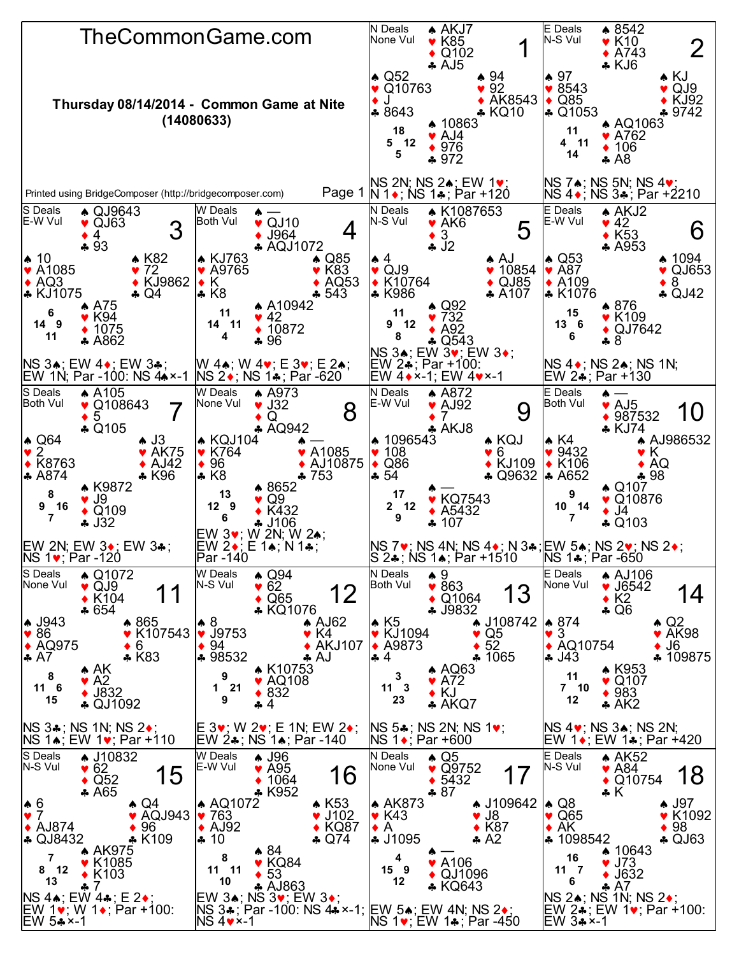